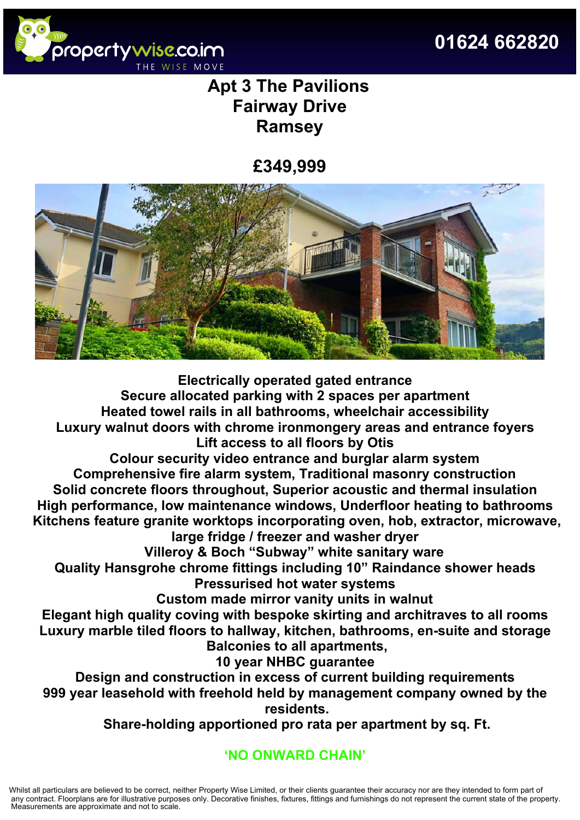



# **Apt 3 The Pavilions Fairway Drive Ramsey**

## **£349,999**



**Electrically operated gated entrance Secure allocated parking with 2 spaces per apartment Heated towel rails in all bathrooms, wheelchair accessibility Luxury walnut doors with chrome ironmongery areas and entrance foyers Lift access to all floors by Otis**

**Colour security video entrance and burglar alarm system Comprehensive fire alarm system, Traditional masonry construction Solid concrete floors throughout, Superior acoustic and thermal insulation High performance, low maintenance windows, Underfloor heating to bathrooms Kitchens feature granite worktops incorporating oven, hob, extractor, microwave, large fridge / freezer and washer dryer**

**Villeroy & Boch "Subway" white sanitary ware**

**Quality Hansgrohe chrome fittings including 10" Raindance shower heads Pressurised hot water systems**

**Custom made mirror vanity units in walnut**

**Elegant high quality coving with bespoke skirting and architraves to all rooms Luxury marble tiled floors to hallway, kitchen, bathrooms, en-suite and storage Balconies to all apartments,**

**10 year NHBC guarantee**

**Design and construction in excess of current building requirements 999 year leasehold with freehold held by management company owned by the residents.**

**Share-holding apportioned pro rata per apartment by sq. Ft.**

### **'NO ONWARD CHAIN'**